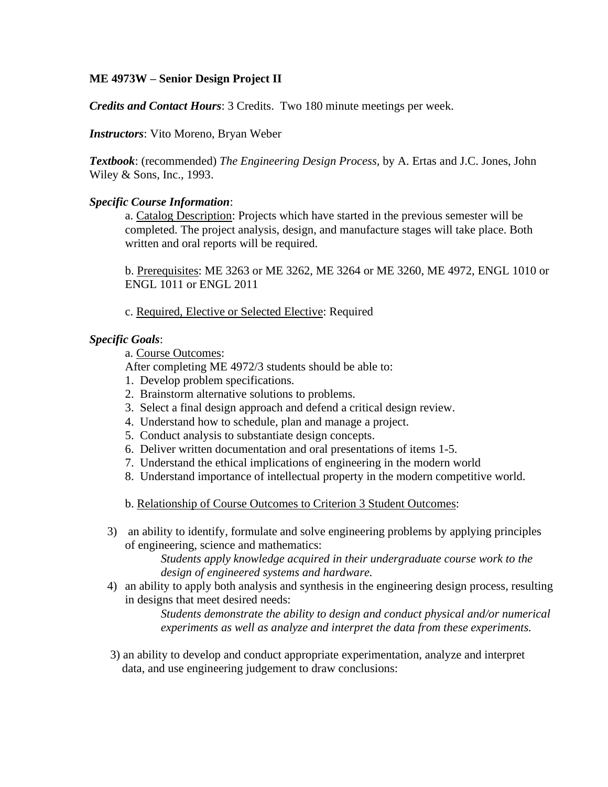## **ME 4973W – Senior Design Project II**

*Credits and Contact Hours*: 3 Credits. Two 180 minute meetings per week.

*Instructors*: Vito Moreno, Bryan Weber

*Textbook*: (recommended) *The Engineering Design Process,* by A. Ertas and J.C. Jones, John Wiley & Sons, Inc., 1993.

## *Specific Course Information*:

a. Catalog Description: Projects which have started in the previous semester will be completed. The project analysis, design, and manufacture stages will take place. Both written and oral reports will be required.

b. Prerequisites: ME 3263 or ME 3262, ME 3264 or ME 3260, ME 4972, ENGL 1010 or ENGL 1011 or ENGL 2011

c. Required, Elective or Selected Elective: Required

## *Specific Goals*:

a. Course Outcomes:

After completing ME 4972/3 students should be able to:

- 1. Develop problem specifications.
- 2. Brainstorm alternative solutions to problems.
- 3. Select a final design approach and defend a critical design review.
- 4. Understand how to schedule, plan and manage a project.
- 5. Conduct analysis to substantiate design concepts.
- 6. Deliver written documentation and oral presentations of items 1-5.
- 7. Understand the ethical implications of engineering in the modern world
- 8. Understand importance of intellectual property in the modern competitive world.
- b. Relationship of Course Outcomes to Criterion 3 Student Outcomes:
- 3) an ability to identify, formulate and solve engineering problems by applying principles of engineering, science and mathematics:

*Students apply knowledge acquired in their undergraduate course work to the design of engineered systems and hardware.*

4) an ability to apply both analysis and synthesis in the engineering design process, resulting in designs that meet desired needs:

> *Students demonstrate the ability to design and conduct physical and/or numerical experiments as well as analyze and interpret the data from these experiments.*

 3) an ability to develop and conduct appropriate experimentation, analyze and interpret data, and use engineering judgement to draw conclusions: